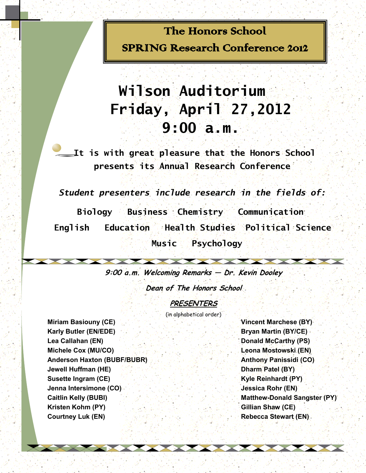## The Honors School SPRING Research Conference 2012

# **Wilson Auditorium Friday, April 27,2012 9:00 a.m.**

**It is with great pleasure that the Honors School presents its Annual Research Conference**

*Student presenters include research in the fields of:*

 **Biology Business Chemistry Communication English Education Health Studies Political Science Music Psychology**

**9:00 a.m. Welcoming Remarks — Dr. Kevin Dooley** 

**Dean of The Honors School**

**PRESENTERS**

(in alphabetical order)

**Karly Butler (EN/EDE) Bryan Martin (BY/CE) Lea Callahan (EN) Donald McCarthy (PS) Michele Cox (MU/CO) Leona Mostowski (EN)** Anderson Haxton (BUBF/BUBR) Anthony Panissidi (CO) **Jewell Huffman (HE) Dharm Patel (BY) Susette Ingram (CE) Kyle Reinhardt (PY) Jenna Intersimone (CO) Jessica Rohr (EN) Kristen Kohm (PY) Gillian Shaw (CE) Courtney Luk (EN) Rebecca Stewart (EN)** 

**Miriam Basiouny (CE) Vincent Marchese (BY) Caitlin Kelly (BUBI) Matthew-Donald Sangster (PY)**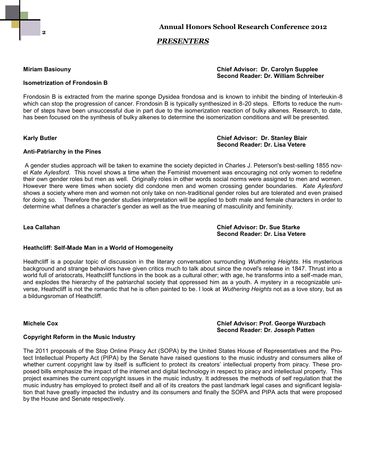

### *PRESENTERS*

### **Miriam Basiouny Chief Advisor: Dr. Carolyn Supplee Second Reader: Dr. William Schreiber**

### **Isometrization of Frondosin B**

Frondosin B is extracted from the marine sponge Dysidea frondosa and is known to inhibit the binding of Interleukin-8 which can stop the progression of cancer. Frondosin B is typically synthesized in 8-20 steps. Efforts to reduce the number of steps have been unsuccessful due in part due to the isomerization reaction of bulky alkenes. Research, to date, has been focused on the synthesis of bulky alkenes to determine the isomerization conditions and will be presented.

#### **Karly Butler Chief Advisor: Dr. Stanley Blair Second Reader: Dr. Lisa Vetere**

#### **Anti-Patriarchy in the Pines**

A gender studies approach will be taken to examine the society depicted in Charles J. Peterson's best-selling 1855 novel *Kate Aylesford*. This novel shows a time when the Feminist movement was encouraging not only women to redefine their own gender roles but men as well. Originally roles in other words social norms were assigned to men and women. However there were times when society did condone men and women crossing gender boundaries. *Kate Aylesford*  shows a society where men and women not only take on non-traditional gender roles but are tolerated and even praised for doing so. Therefore the gender studies interpretation will be applied to both male and female characters in order to determine what defines a character's gender as well as the true meaning of masculinity and femininity.

**Lea Callahan Chief Advisor: Dr. Sue Starke Second Reader: Dr. Lisa Vetere**

#### **Heathcliff: Self-Made Man in a World of Homogeneity**

Heathcliff is a popular topic of discussion in the literary conversation surrounding *Wuthering Heights*. His mysterious background and strange behaviors have given critics much to talk about since the novel's release in 1847. Thrust into a world full of aristocrats, Heathcliff functions in the book as a cultural other; with age, he transforms into a self-made man, and explodes the hierarchy of the patriarchal society that oppressed him as a youth. A mystery in a recognizable universe, Heathcliff is not the romantic that he is often painted to be. I look at *Wuthering Heights* not as a love story, but as a bildungsroman of Heathcliff.

#### **Michele Cox Chief Advisor: Prof. George Wurzbach Second Reader: Dr. Joseph Patten**

#### **Copyright Reform in the Music Industry**

The 2011 proposals of the Stop Online Piracy Act (SOPA) by the United States House of Representatives and the Protect Intellectual Property Act (PIPA) by the Senate have raised questions to the music industry and consumers alike of whether current copyright law by itself is sufficient to protect its creators' intellectual property from piracy. These proposed bills emphasize the impact of the internet and digital technology in respect to piracy and intellectual property. This project examines the current copyright issues in the music industry. It addresses the methods of self regulation that the music industry has employed to protect itself and all of its creators the past landmark legal cases and significant legislation that have greatly impacted the industry and its consumers and finally the SOPA and PIPA acts that were proposed by the House and Senate respectively.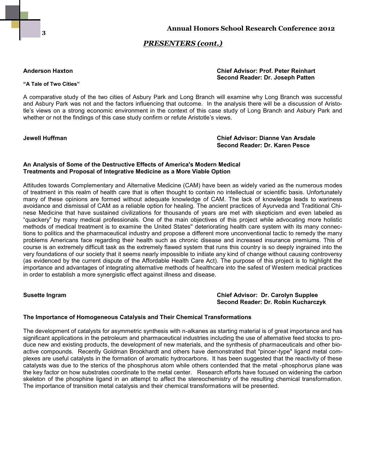

#### **"A Tale of Two Cities"**

#### **Anderson Haxton Chief Advisor: Prof. Peter Reinhart Second Reader: Dr. Joseph Patten**

A comparative study of the two cities of Asbury Park and Long Branch will examine why Long Branch was successful and Asbury Park was not and the factors influencing that outcome. In the analysis there will be a discussion of Aristotle's views on a strong economic environment in the context of this case study of Long Branch and Asbury Park and whether or not the findings of this case study confirm or refute Aristotle's views.

**Jewell Huffman Chief Advisor: Dianne Van Arsdale Second Reader: Dr. Karen Pesce**

### **An Analysis of Some of the Destructive Effects of America's Modern Medical Treatments and Proposal of Integrative Medicine as a More Viable Option**

Attitudes towards Complementary and Alternative Medicine (CAM) have been as widely varied as the numerous modes of treatment in this realm of health care that is often thought to contain no intellectual or scientific basis. Unfortunately many of these opinions are formed without adequate knowledge of CAM. The lack of knowledge leads to wariness avoidance and dismissal of CAM as a reliable option for healing. The ancient practices of Ayurveda and Traditional Chinese Medicine that have sustained civilizations for thousands of years are met with skepticism and even labeled as "quackery" by many medical professionals. One of the main objectives of this project while advocating more holistic methods of medical treatment is to examine the United States'' deteriorating health care system with its many connections to politics and the pharmaceutical industry and propose a different more unconventional tactic to remedy the many problems Americans face regarding their health such as chronic disease and increased insurance premiums. This of course is an extremely difficult task as the extremely flawed system that runs this country is so deeply ingrained into the very foundations of our society that it seems nearly impossible to initiate any kind of change without causing controversy (as evidenced by the current dispute of the Affordable Health Care Act). The purpose of this project is to highlight the importance and advantages of integrating alternative methods of healthcare into the safest of Western medical practices in order to establish a more synergistic effect against illness and disease.

#### **Susette Ingram Chief Advisor: Dr. Carolyn Supplee Second Reader: Dr. Robin Kucharczyk**

#### **The Importance of Homogeneous Catalysis and Their Chemical Transformations**

The development of catalysts for asymmetric synthesis with n-alkanes as starting material is of great importance and has significant applications in the petroleum and pharmaceutical industries including the use of alternative feed stocks to produce new and existing products, the development of new materials, and the synthesis of pharmaceuticals and other bioactive compounds. Recently Goldman Brookhardt and others have demonstrated that "pincer-type" ligand metal complexes are useful catalysts in the formation of aromatic hydrocarbons. It has been suggested that the reactivity of these catalysts was due to the sterics of the phosphorus atom while others contended that the metal -phosphorus plane was the key factor on how substrates coordinate to the metal center. Research efforts have focused on widening the carbon skeleton of the phosphine ligand in an attempt to affect the stereochemistry of the resulting chemical transformation. The importance of transition metal catalysis and their chemical transformations will be presented.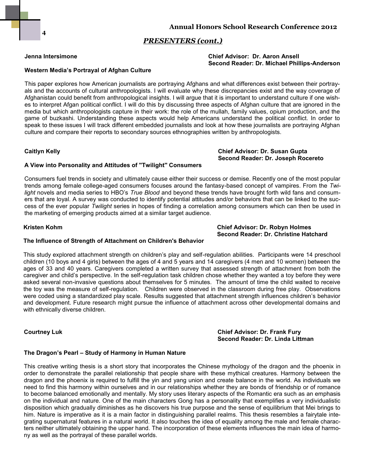#### **Jenna Intersimone Chief Advisor: Dr. Aaron Ansell Second Reader: Dr. Michael Phillips-Anderson**

#### **Western Media's Portrayal of Afghan Culture**

This paper explores how American journalists are portraying Afghans and what differences exist between their portrayals and the accounts of cultural anthropologists. I will evaluate why these discrepancies exist and the way coverage of Afghanistan could benefit from anthropological insights. I will argue that it is important to understand culture if one wishes to interpret Afgan political conflict. I will do this by discussing three aspects of Afghan culture that are ignored in the media but which anthropologists capture in their work: the role of the mullah, family values, opium production, and the game of buzkashi. Understanding these aspects would help Americans understand the political conflict. In order to speak to these issues I will track different embedded journalists and look at how these journalists are portraying Afghan culture and compare their reports to secondary sources ethnographies written by anthropologists.

#### **Caitlyn Kelly Chief Advisor: Dr. Susan Gupta**

### **A View into Personality and Attitudes of ''Twilight'' Consumers**

Consumers fuel trends in society and ultimately cause either their success or demise. Recently one of the most popular trends among female college-aged consumers focuses around the fantasy-based concept of vampires. From the *Twilight* novels and media series to HBO's *True Blood* and beyond these trends have brought forth wild fans and consumers that are loyal. A survey was conducted to identify potential attitudes and/or behaviors that can be linked to the success of the ever popular *Twilight* series in hopes of finding a correlation among consumers which can then be used in the marketing of emerging products aimed at a similar target audience.

#### **Kristen Kohm Chief Advisor: Dr. Robyn Holmes Second Reader: Dr. Christine Hatchard**

**Second Reader: Dr. Joseph Rocereto**

#### **The Influence of Strength of Attachment on Children's Behavior**

This study explored attachment strength on children's play and self-regulation abilities. Participants were 14 preschool children (10 boys and 4 girls) between the ages of 4 and 5 years and 14 caregivers (4 men and 10 women) between the ages of 33 and 40 years. Caregivers completed a written survey that assessed strength of attachment from both the caregiver and child's perspective. In the self-regulation task children chose whether they wanted a toy before they were asked several non-invasive questions about themselves for 5 minutes. The amount of time the child waited to receive the toy was the measure of self-regulation. Children were observed in the classroom during free play. Observations were coded using a standardized play scale. Results suggested that attachment strength influences children's behavior and development. Future research might pursue the influence of attachment across other developmental domains and with ethnically diverse children.

#### **Courtney Luk Chief Advisor: Dr. Frank Fury Second Reader: Dr. Linda Littman**

#### **The Dragon's Pearl – Study of Harmony in Human Nature**

This creative writing thesis is a short story that incorporates the Chinese mythology of the dragon and the phoenix in order to demonstrate the parallel relationship that people share with these mythical creatures. Harmony between the dragon and the phoenix is required to fulfill the yin and yang union and create balance in the world. As individuals we need to find this harmony within ourselves and in our relationships whether they are bonds of friendship or of romance to become balanced emotionally and mentally. My story uses literary aspects of the Romantic era such as an emphasis on the individual and nature. One of the main characters Gong has a personality that exemplifies a very individualistic disposition which gradually diminishes as he discovers his true purpose and the sense of equilibrium that Mei brings to him. Nature is imperative as it is a main factor in distinguishing parallel realms. This thesis resembles a fairytale integrating supernatural features in a natural world. It also touches the idea of equality among the male and female characters neither ultimately obtaining the upper hand. The incorporation of these elements influences the main idea of harmony as well as the portrayal of these parallel worlds.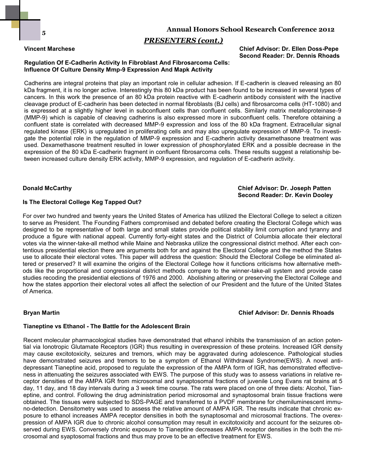### **Annual Honors School Research Conference 2012**

### *PRESENTERS (cont.)*

**Vincent Marchese Chief Advisor: Dr. Ellen Doss-Pepe Second Reader: Dr. Dennis Rhoads**

#### **Regulation Of E-Cadherin Activity In Fibroblast And Fibrosarcoma Cells: Influence Of Culture Density Mmp-9 Expression And Mapk Activity**

Cadherins are integral proteins that play an important role in cellular adhesion. If E-cadherin is cleaved releasing an 80 kDa fragment, it is no longer active. Interestingly this 80 kDa product has been found to be increased in several types of cancers. In this work the presence of an 80 kDa protein reactive with E-cadherin antibody consistent with the inactive cleavage product of E-cadherin has been detected in normal fibroblasts (BJ cells) and fibrosarcoma cells (HT-1080) and is expressed at a slightly higher level in subconfluent cells than confluent cells. Similarly matrix metalloproteinase-9 (MMP-9) which is capable of cleaving cadherins is also expressed more in subconfluent cells. Therefore obtaining a confluent state is correlated with decreased MMP-9 expression and loss of the 80 kDa fragment. Extracellular signal regulated kinase (ERK) is upregulated in proliferating cells and may also upregulate expression of MMP-9. To investigate the potential role in the regulation of MMP-9 expression and E-cadherin activity dexamethasone treatment was used. Dexamethasone treatment resulted in lower expression of phosphorylated ERK and a possible decrease in the expression of the 80 kDa E-cadherin fragment in confluent fibrosarcoma cells. These results suggest a relationship between increased culture density ERK activity, MMP-9 expression, and regulation of E-cadherin activity.

#### **Donald McCarthy Chief Advisor: Dr. Joseph Patten Second Reader: Dr. Kevin Dooley**

#### **Is The Electoral College Keg Tapped Out?**

For over two hundred and twenty years the United States of America has utilized the Electoral College to select a citizen to serve as President. The Founding Fathers compromised and debated before creating the Electoral College which was designed to be representative of both large and small states provide political stability limit corruption and tyranny and produce a figure with national appeal. Currently forty-eight states and the District of Columbia allocate their electoral votes via the winner-take-all method while Maine and Nebraska utilize the congressional district method. After each contentious presidential election there are arguments both for and against the Electoral College and the method the States use to allocate their electoral votes. This paper will address the question: Should the Electoral College be eliminated altered or preserved? It will examine the origins of the Electoral College how it functions criticisms how alternative methods like the proportional and congressional district methods compare to the winner-take-all system and provide case studies recoding the presidential elections of 1976 and 2000. Abolishing altering or preserving the Electoral College and how the states apportion their electoral votes all affect the selection of our President and the future of the United States of America.

#### **Bryan Martin Chief Advisor: Dr. Dennis Rhoads**

#### **Tianeptine vs Ethanol - The Battle for the Adolescent Brain**

Recent molecular pharmacological studies have demonstrated that ethanol inhibits the transmission of an action potential via Ionotropic Glutamate Receptors (IGR) thus resulting in overexpression of these proteins. Increased IGR density may cause excitotoxicity, seizures and tremors, which may be aggravated during adolescence. Pathological studies have demonstrated seizures and tremors to be a symptom of Ethanol Withdrawal Syndrome(EWS). A novel antidepressant Tianeptine acid, proposed to regulate the expression of the AMPA form of IGR, has demonstrated effectiveness in attenuating the seizures associated with EWS. The purpose of this study was to assess variations in relative receptor densities of the AMPA IGR from microsomal and synaptosomal fractions of juvenile Long Evans rat brains at 5 day, 11 day, and 18 day intervals during a 3 week time course. The rats were placed on one of three diets: Alcohol, Tianeptine, and control. Following the drug administration period microsomal and synaptosomal brain tissue fractions were obtained. The tissues were subjected to SDS-PAGE and transferred to a PVDF membrane for chemiluminescent immuno-detection. Densitometry was used to assess the relative amount of AMPA IGR. The results indicate that chronic exposure to ethanol increases AMPA receptor densities in both the synaptosomal and microsomal fractions. The overexpression of AMPA IGR due to chronic alcohol consumption may result in excitotoxicity and account for the seizures observed during EWS. Conversely chronic exposure to Tianeptine decreases AMPA receptor densities in the both the microsomal and syaptosomal fractions and thus may prove to be an effective treatment for EWS.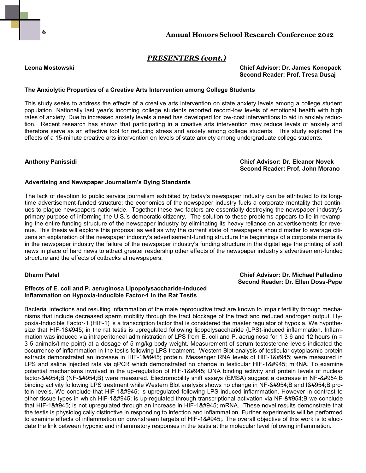#### **Leona Mostowski Chief Advisor: Dr. James Konopack Second Reader: Prof. Tresa Dusaj**

#### **The Anxiolytic Properties of a Creative Arts Intervention among College Students**

This study seeks to address the effects of a creative arts intervention on state anxiety levels among a college student population. Nationally last year's incoming college students reported record-low levels of emotional health with high rates of anxiety. Due to increased anxiety levels a need has developed for low-cost interventions to aid in anxiety reduction. Recent research has shown that participating in a creative arts intervention may reduce levels of anxiety and therefore serve as an effective tool for reducing stress and anxiety among college students. This study explored the effects of a 15-minute creative arts intervention on levels of state anxiety among undergraduate college students.

**Anthony Panissidi Chief Advisor: Dr. Eleanor Novek Second Reader: Prof. John Morano**

 **Second Reader: Dr. Ellen Doss-Pepe**

#### **Advertising and Newspaper Journalism's Dying Standards**

The lack of devotion to public service journalism exhibited by today's newspaper industry can be attributed to its longtime advertisement-funded structure; the economics of the newspaper industry fuels a corporate mentality that continues to plague newspapers nationwide. Together these two factors are essentially destroying the newspaper industry's primary purpose of informing the U.S.'s democratic citizenry. The solution to these problems appears to lie in revamping the entire funding structure of the newspaper industry by eliminating its heavy reliance on advertisements for revenue. This thesis will explore this proposal as well as why the current state of newspapers should matter to average citizens an explanation of the newspaper industry's advertisement-funding structure the beginnings of a corporate mentality in the newspaper industry the failure of the newspaper industry's funding structure in the digital age the printing of soft news in place of hard news to attract greater readership other effects of the newspaper industry's advertisement-funded structure and the effects of cutbacks at newspapers.

#### **Dharm Patel Chief Advisor: Dr. Michael Palladino**

#### **Effects of E. coli and P. aeruginosa Lipopolysaccharide-Induced Inflammation on Hypoxia-Inducible Factor-1 in the Rat Testis**

Bacterial infections and resulting inflammation of the male reproductive tract are known to impair fertility through mechanisms that include decreased sperm mobility through the tract blockage of the tract and reduced androgen output. Hypoxia-Inducible Factor-1 (HIF-1) is a transcription factor that is considered the master regulator of hypoxia. We hypothesize that HIF-1α in the rat testis is upregulated following lipopolysaccharide (LPS)-induced inflammation. Inflammation was induced via intraperitoneal administration of LPS from E. coli and P. aeruginosa for 1 3 6 and 12 hours (n = 3-5 animals/time point) at a dosage of 5 mg/kg body weight. Measurement of serum testosterone levels indicated the occurrence of inflammation in the testis following LPS treatment. Western Blot analysis of testicular cytoplasmic protein extracts demonstrated an increase in HIF-1α protein. Messenger RNA levels of HIF-1α were measured in LPS and saline injected rats via qPCR which demonstrated no change in testicular HIF-1α mRNA. To examine potential mechanisms involved in the up-regulation of HIF-1α DNA binding activity and protein levels of nuclear factor-κB (NF-κB) were measured. Electromobility shift assays (EMSA) suggest a decrease in NF-κB binding activity following LPS treatment while Western Blot analysis shows no change in NF-κB and IκB protein levels. We conclude that HIF-1α is upregulated following LPS-induced inflammation. However in contrast to other tissue types in which HIF-1α is up-regulated through transcriptional activation via NF-κB we conclude that HIF-1α is not upregulated through an increase in HIF-1α mRNA. These novel results demonstrate that the testis is physiologically distinctive in responding to infection and inflammation. Further experiments will be performed to examine effects of inflammation on downstream targets of HIF-1&#945. The overall objective of this work is to elucidate the link between hypoxic and inflammatory responses in the testis at the molecular level following inflammation.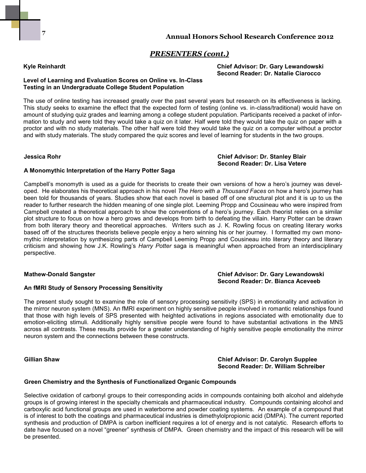### **Kyle Reinhardt Chief Advisor: Dr. Gary Lewandowski Second Reader: Dr. Natalie Ciarocco**

#### **Level of Learning and Evaluation Scores on Online vs. In-Class Testing in an Undergraduate College Student Population**

The use of online testing has increased greatly over the past several years but research on its effectiveness is lacking. This study seeks to examine the effect that the expected form of testing (online vs. in-class/traditional) would have on amount of studying quiz grades and learning among a college student population. Participants received a packet of information to study and were told they would take a quiz on it later. Half were told they would take the quiz on paper with a proctor and with no study materials. The other half were told they would take the quiz on a computer without a proctor and with study materials. The study compared the quiz scores and level of learning for students in the two groups.

**Jessica Rohr Chief Advisor: Dr. Stanley Blair Second Reader: Dr. Lisa Vetere**

### **A Monomythic Interpretation of the Harry Potter Saga**

Campbell's monomyth is used as a guide for theorists to create their own versions of how a hero's journey was developed. He elaborates his theoretical approach in his novel *The Hero with a Thousand Faces* on how a hero's journey has been told for thousands of years. Studies show that each novel is based off of one structural plot and it is up to us the reader to further research the hidden meaning of one single plot. Leeming Propp and Cousineau who were inspired from Campbell created a theoretical approach to show the conventions of a hero's journey. Each theorist relies on a similar plot structure to focus on how a hero grows and develops from birth to defeating the villain. Harry Potter can be drawn from both literary theory and theoretical approaches. Writers such as J. K. Rowling focus on creating literary works based off of the structures theorists believe people enjoy a hero winning his or her journey. I formatted my own monomythic interpretation by synthesizing parts of Campbell Leeming Propp and Cousineau into literary theory and literary criticism and showing how J.K. Rowling's *Harry Potter* saga is meaningful when approached from an interdisciplinary perspective.

#### **Mathew-Donald Sangster Chief Advisor: Dr. Gary Lewandowski Second Reader: Dr. Bianca Aceveeb**

#### **An fMRI Study of Sensory Processing Sensitivity**

The present study sought to examine the role of sensory processing sensitivity (SPS) in emotionality and activation in the mirror neuron system (MNS). An fMRI experiment on highly sensitive people involved in romantic relationships found that those with high levels of SPS presented with heighted activations in regions associated with emotionality due to emotion-eliciting stimuli. Additionally highly sensitive people were found to have substantial activations in the MNS across all contrasts. These results provide for a greater understanding of highly sensitive people emotionality the mirror neuron system and the connections between these constructs.

#### **Gillian Shaw Chief Advisor: Dr. Carolyn Supplee Second Reader: Dr. William Schreiber**

#### **Green Chemistry and the Synthesis of Functionalized Organic Compounds**

Selective oxidation of carbonyl groups to their corresponding acids in compounds containing both alcohol and aldehyde groups is of growing interest in the specialty chemicals and pharmaceutical industry. Compounds containing alcohol and carboxylic acid functional groups are used in waterborne and powder coating systems. An example of a compound that is of interest to both the coatings and pharmaceutical industries is dimethylolpropionic acid (DMPA). The current reported synthesis and production of DMPA is carbon inefficient requires a lot of energy and is not catalytic. Research efforts to date have focused on a novel "greener" synthesis of DMPA. Green chemistry and the impact of this research will be will be presented.